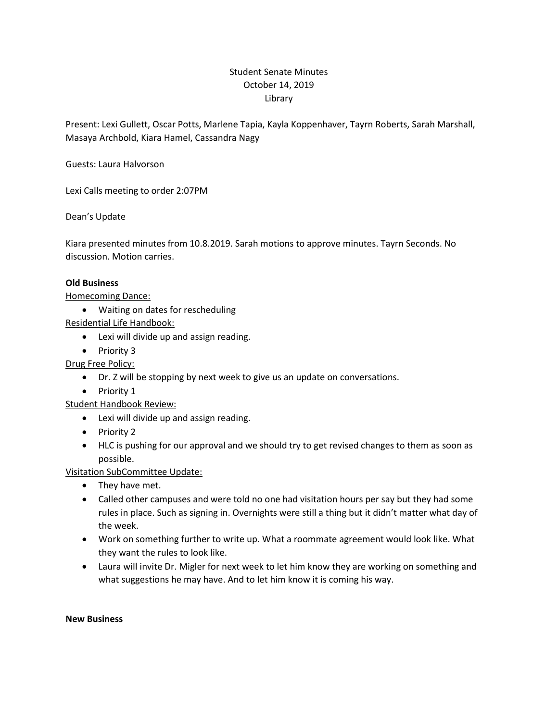# Student Senate Minutes October 14, 2019 Library

Present: Lexi Gullett, Oscar Potts, Marlene Tapia, Kayla Koppenhaver, Tayrn Roberts, Sarah Marshall, Masaya Archbold, Kiara Hamel, Cassandra Nagy

Guests: Laura Halvorson

Lexi Calls meeting to order 2:07PM

## Dean's Update

Kiara presented minutes from 10.8.2019. Sarah motions to approve minutes. Tayrn Seconds. No discussion. Motion carries.

## **Old Business**

Homecoming Dance:

Waiting on dates for rescheduling

Residential Life Handbook:

- Lexi will divide up and assign reading.
- Priority 3

Drug Free Policy:

- Dr. Z will be stopping by next week to give us an update on conversations.
- Priority 1

## Student Handbook Review:

- Lexi will divide up and assign reading.
- Priority 2
- HLC is pushing for our approval and we should try to get revised changes to them as soon as possible.

## Visitation SubCommittee Update:

- They have met.
- Called other campuses and were told no one had visitation hours per say but they had some rules in place. Such as signing in. Overnights were still a thing but it didn't matter what day of the week.
- Work on something further to write up. What a roommate agreement would look like. What they want the rules to look like.
- Laura will invite Dr. Migler for next week to let him know they are working on something and what suggestions he may have. And to let him know it is coming his way.

#### **New Business**